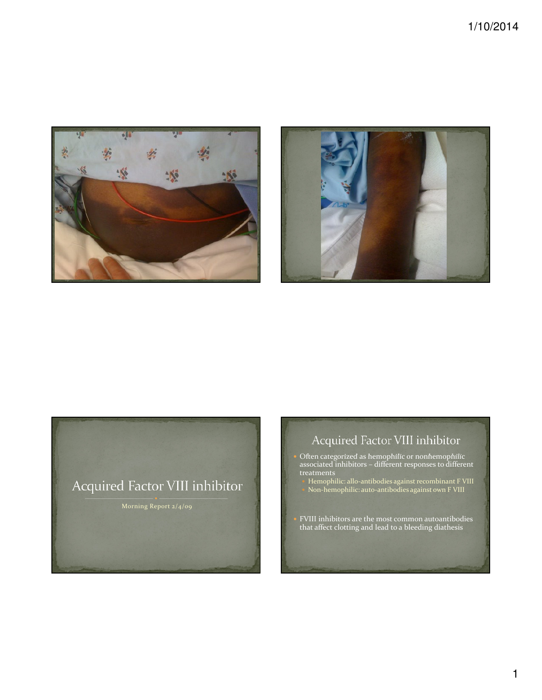



# Acquired Factor VIII inhibitor Morning Report 2/4/09

# Acquired Factor VIII inhibitor

- Often categorized as hemophilic or nonhemophilic associated inhibitors – different responses to different treatments
	- Hemophilic: allo-antibodies against recombinant F VIII Non-hemophilic: auto-antibodies against own F VIII
- FVIII inhibitors are the most common autoantibodies that affect clotting and lead to a bleeding diathesis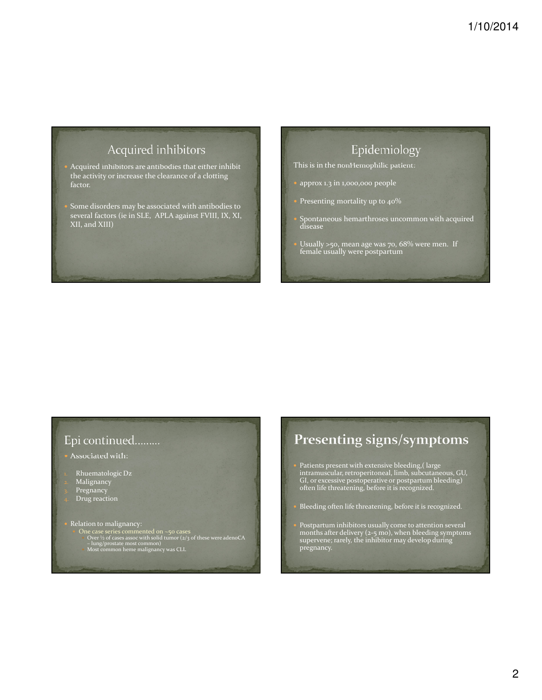#### Acquired inhibitors

- Acquired inhibitors are antibodies that either inhibit the activity or increase the clearance of a clotting factor.
- Some disorders may be associated with antibodies to several factors (ie in SLE, APLA against FVIII, IX, XI, XII, and XIII)

#### Epidemiology

This is in the nonHemophilic patient:

- approx 1.3 in 1,000,000 people
- Presenting mortality up to 40%
- Spontaneous hemarthroses uncommon with acquired disease
- Usually >50, mean age was 70, 68% were men. If female usually were postpartum

#### Epi continued.........

Associated with:

#### Rhuematologic Dz

- Malignancy
- 3. Pregnancy
- 4. Drug reaction

- Relation to malignancy:<br>
 One case series commented on ~50 cases<br>
 Over ½ of cases assoc with solid tumor (2/3 of these were adenoCA<br>
 lung/prostate most common)<br>
Most common heme malignancy was CLL
	-

## **Presenting signs/symptoms**

- Patients present with extensive bleeding, (large intramuscular, retroperitoneal, limb, subcutaneous, GU, GI, or excessive postoperative or postpartum bleeding) often life threatening, before it is recognized.
- Bleeding often life threatening, before it is recognized.
- Postpartum inhibitors usually come to attention several months after delivery (2-5 mo), when bleeding symptoms supervene; rarely, the inhibitor may develop during pregnancy.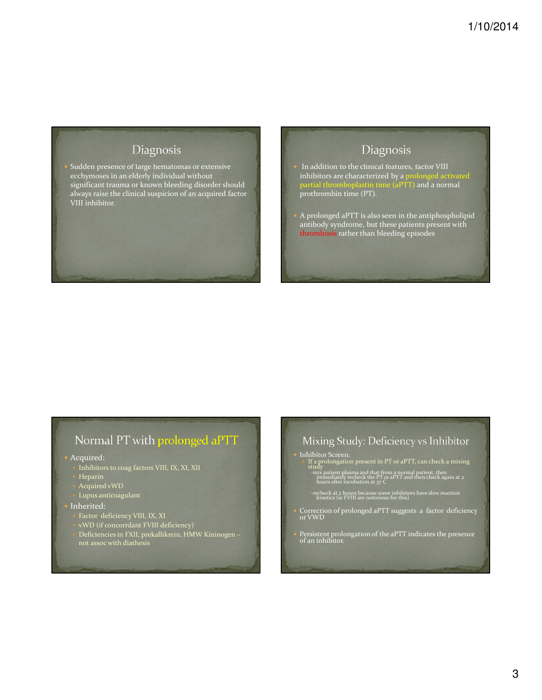#### Diagnosis

 Sudden presence of large hematomas or extensive ecchymoses in an elderly individual without significant trauma or known bleeding disorder should always raise the clinical suspicion of an acquired factor VIII inhibitor.

#### Diagnosis

- In addition to the clinical features, factor VIII inhibitors are characterized by a prolonged activated partial thromboplastin time (aPTT) and a normal prothrombin time (PT).
- A prolonged aPTT is also seen in the antiphospholipid antibody syndrome, but these patients present with thrombosis rather than bleeding episodes

### Normal PT with prolonged aPTT

Acquired:

- Inhibitors to coag factors VIII, IX, XI, XII
- Heparin
- 

#### Lupus anticoagulant

- Inherited:
	- Factor deficiency VIII, IX, XI
	- vWD (if concorrdant FVIII deficiency)
	- Deficiencies in FXII, prekallikrein, HMW Kininogen not assoc with diathesis

#### Mixing Study: Deficiency vs Inhibitor

 Inhibitor Screen: If a prolongation present in PT or aPTT, can check a mixing study -mix patient plasma and that from a normal patient, then immediately recheck the PT or aPTT and then check again at 2 hours after incubation at 37 C

-recheck at 2 hours because some inhibitors have slow reaction kinetics (ie FVIII are notorious for this)

- Correction of prolonged aPTT suggests a factor deficiency or VWD
- Persistent prolongation of the aPTT indicates the presence of an inhibitor.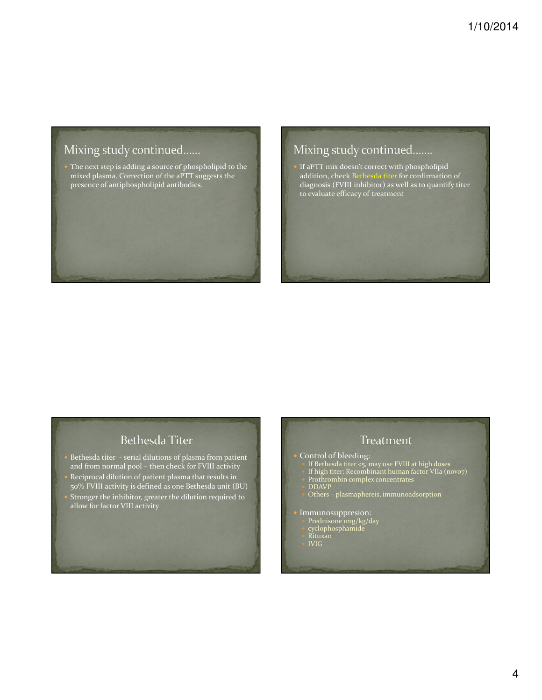#### Mixing study continued......

 The next step is adding a source of phospholipid to the mixed plasma. Correction of the aPTT suggests the presence of antiphospholipid antibodies.

#### Mixing study continued.......

 If aPTT mix doesn't correct with phospholipid addition, check Bethesda titer for confirmation of diagnosis (FVIII inhibitor) as well as to quantify titer to evaluate efficacy of treatment

#### **Bethesda Titer**

- Bethesda titer serial dilutions of plasma from patient and from normal pool – then check for FVIII activity
- Reciprocal dilution of patient plasma that results in 50% FVIII activity is defined as one Bethesda unit (BU)
- Stronger the inhibitor, greater the dilution required to allow for factor VIII activity
- Treatment Control of bleeding: ● If Bethesda titer <5, may use FVIII at high doses If high titer: Recombinant human factor VIIa (novo7) • Prothrombin complex concentrates • DDAVP Others – plasmaphereis, immunoadsorption • Immunosuppresion: • Prednisone 1mg/kg/day cyclophosphamide Rituxan